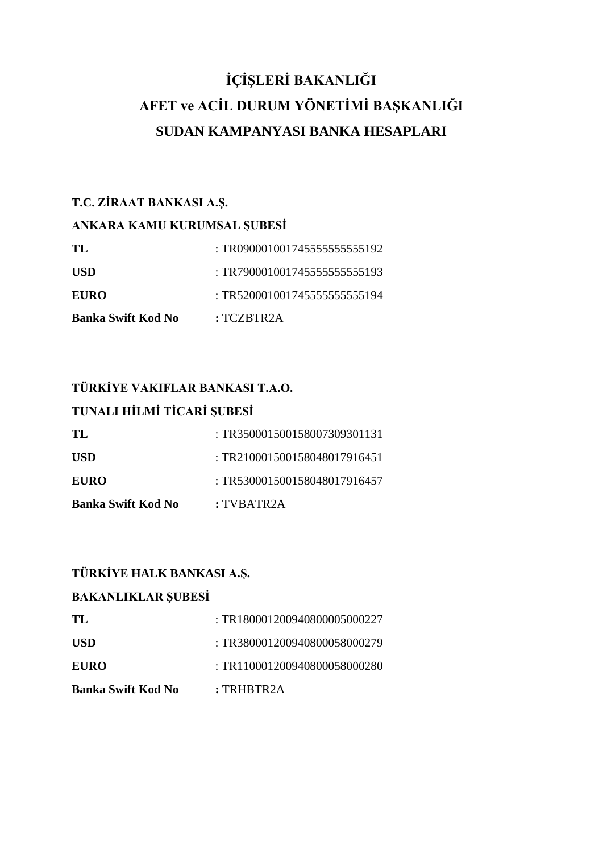# **İÇİŞLERİ BAKANLIĞI AFET ve ACİL DURUM YÖNETİMİ BAŞKANLIĞI SUDAN KAMPANYASI BANKA HESAPLARI**

## **T.C. ZİRAAT BANKASI A.Ş.**

#### **ANKARA KAMU KURUMSAL ŞUBESİ**

| TL                 | : TR0900010017455555555555192 |
|--------------------|-------------------------------|
| USD                | : TR790001001745555555555193  |
| <b>EURO</b>        | : TR5200010017455555555555194 |
| Banka Swift Kod No | :TCZBTR2A                     |

# **TÜRKİYE VAKIFLAR BANKASI T.A.O.**

## **TUNALI HİLMİ TİCARİ ŞUBESİ**

| TL.                       | : TR350001500158007309301131 |
|---------------------------|------------------------------|
| USD <sub>1</sub>          | : TR210001500158048017916451 |
| <b>EURO</b>               | : TR530001500158048017916457 |
| <b>Banka Swift Kod No</b> | : TVBATR2A                   |

#### **TÜRKİYE HALK BANKASI A.Ş.**

#### **BAKANLIKLAR ŞUBESİ**

| TL.                       | : TR180001200940800005000227 |
|---------------------------|------------------------------|
| USD                       | : TR380001200940800058000279 |
| <b>EURO</b>               | : TR110001200940800058000280 |
| <b>Banka Swift Kod No</b> | : <b>TRHBTR2A</b>            |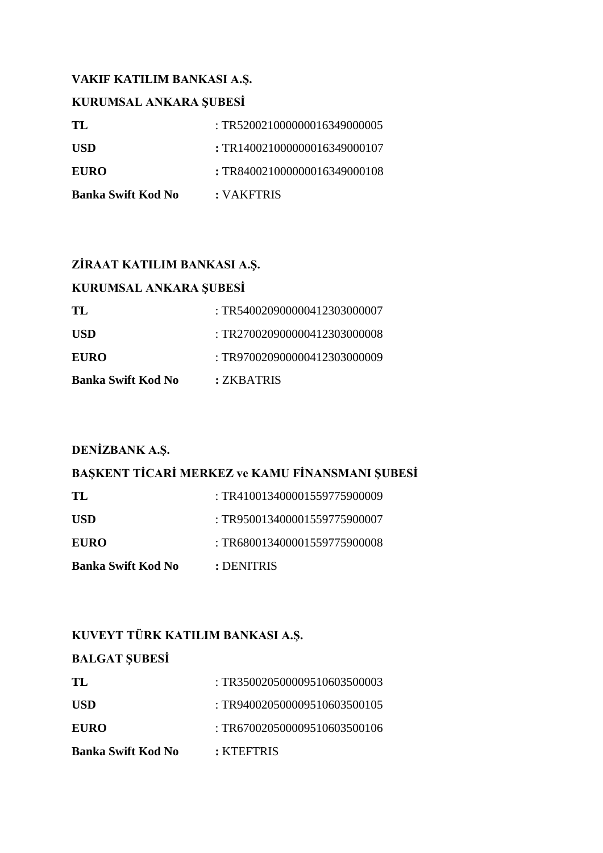#### **VAKIF KATILIM BANKASI A.Ş.**

#### **KURUMSAL ANKARA ŞUBESİ**

| TL.                       | : TR520021000000016349000005 |
|---------------------------|------------------------------|
| <b>USD</b>                | : TR140021000000016349000107 |
| <b>EURO</b>               | : TR840021000000016349000108 |
| <b>Banka Swift Kod No</b> | : VAKFTRIS                   |

#### **ZİRAAT KATILIM BANKASI A.Ş.**

| KURUMSAL ANKARA ŞUBESİ    |                              |
|---------------------------|------------------------------|
| TL                        | : TR540020900000412303000007 |
| <b>USD</b>                | : TR270020900000412303000008 |
| <b>EURO</b>               | : TR970020900000412303000009 |
| <b>Banka Swift Kod No</b> | : ZKBATRIS                   |

#### **DENİZBANK A.Ş.**

## **BAŞKENT TİCARİ MERKEZ ve KAMU FİNANSMANI ŞUBESİ**

| TL.                       | : TR410013400001559775900009 |
|---------------------------|------------------------------|
| <b>USD</b>                | : TR950013400001559775900007 |
| <b>EURO</b>               | : TR680013400001559775900008 |
| <b>Banka Swift Kod No</b> | : DENITRIS                   |

## **KUVEYT TÜRK KATILIM BANKASI A.Ş.**

# **BALGAT ŞUBESİ TL** : TR3[500205000095106035](callto:0020%205000%200951%200603)00003 USD : TR9[400205000095106035](callto:0020%205000%200951%200603)00105 **EURO** : TR6[700205000095106035](callto:0020%205000%200951%200603)00106 **Banka Swift Kod No :** KTEFTRIS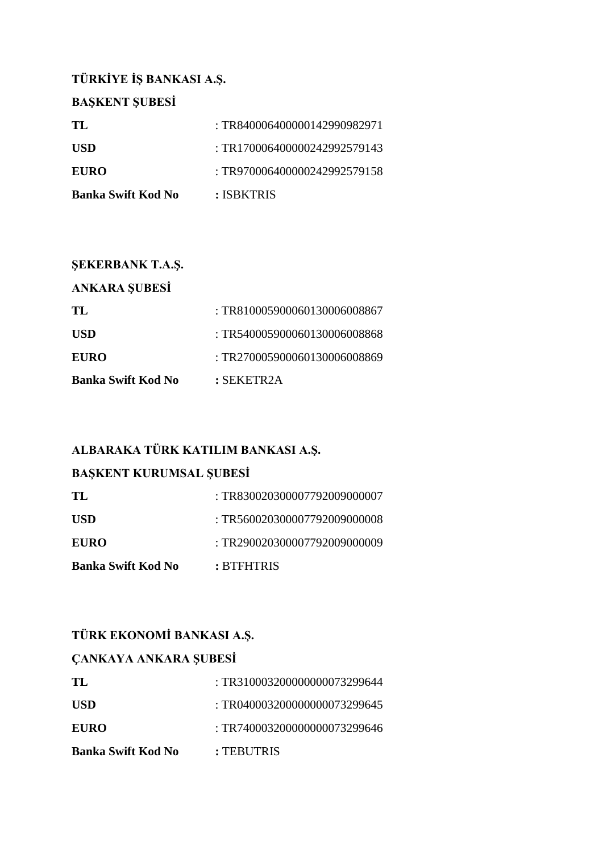# **TÜRKİYE İŞ BANKASI A.Ş.**

| <b>BASKENT SUBESI</b>     |                              |
|---------------------------|------------------------------|
| TL                        | : TR840006400000142990982971 |
| <b>USD</b>                | : TR170006400000242992579143 |
| <b>EURO</b>               | : TR970006400000242992579158 |
| <b>Banka Swift Kod No</b> | : ISBKTRIS                   |

| <b>SEKERBANK T.A.S.</b>   |                             |
|---------------------------|-----------------------------|
| <b>ANKARA SUBESİ</b>      |                             |
| TL.                       | :TR810005900060130006008867 |
| <b>USD</b>                | :TR540005900060130006008868 |
| <b>EURO</b>               | :TR270005900060130006008869 |
| <b>Banka Swift Kod No</b> | $:$ SEKETR2A                |

# **ALBARAKA TÜRK KATILIM BANKASI A.Ş.**

#### **BAŞKENT KURUMSAL ŞUBESİ**

| TL                        | : TR830020300007792009000007 |
|---------------------------|------------------------------|
| <b>USD</b>                | : TR560020300007792009000008 |
| <b>EURO</b>               | : TR290020300007792009000009 |
| <b>Banka Swift Kod No</b> | : BTFHTRIS                   |

# **TÜRK EKONOMİ BANKASI A.Ş.**

#### **ÇANKAYA ANKARA ŞUBESİ**

| Banka Swift Kod No | : TEBUTRIS                   |
|--------------------|------------------------------|
| <b>EURO</b>        | : TR740003200000000073299646 |
| <b>USD</b>         | : TR040003200000000073299645 |
| TL.                | : TR310003200000000073299644 |